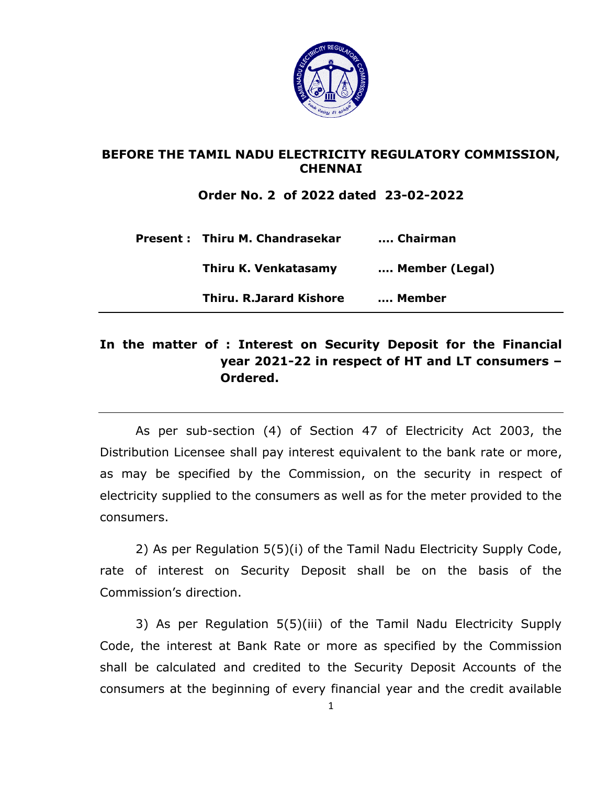

## **BEFORE THE TAMIL NADU ELECTRICITY REGULATORY COMMISSION, CHENNAI**

**Order No. 2 of 2022 dated 23-02-2022**

| <b>Present: Thiru M. Chandrasekar</b> | Chairman       |
|---------------------------------------|----------------|
| Thiru K. Venkatasamy                  | Member (Legal) |
| <b>Thiru. R.Jarard Kishore</b>        | Member         |

## **In the matter of : Interest on Security Deposit for the Financial year 2021-22 in respect of HT and LT consumers – Ordered.**

As per sub-section (4) of Section 47 of Electricity Act 2003, the Distribution Licensee shall pay interest equivalent to the bank rate or more, as may be specified by the Commission, on the security in respect of electricity supplied to the consumers as well as for the meter provided to the consumers.

2) As per Regulation 5(5)(i) of the Tamil Nadu Electricity Supply Code, rate of interest on Security Deposit shall be on the basis of the Commission's direction.

3) As per Regulation 5(5)(iii) of the Tamil Nadu Electricity Supply Code, the interest at Bank Rate or more as specified by the Commission shall be calculated and credited to the Security Deposit Accounts of the consumers at the beginning of every financial year and the credit available